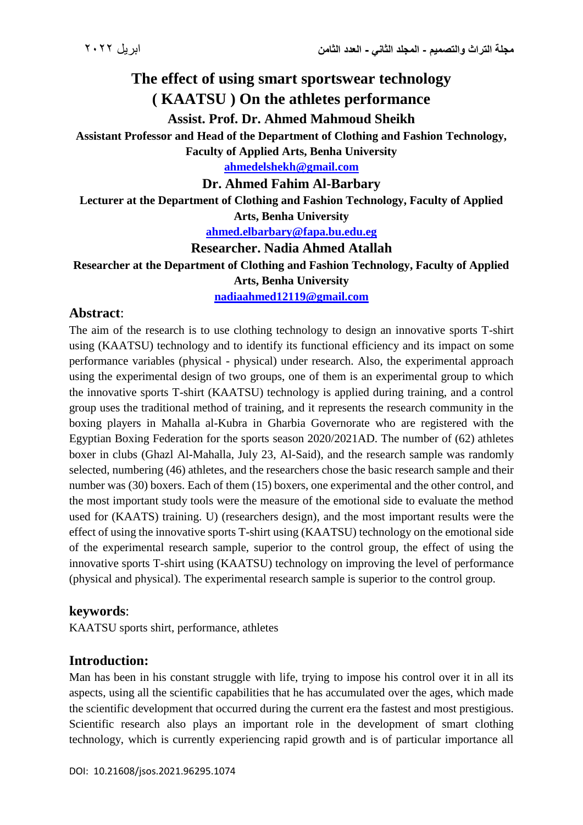# **The effect of using smart sportswear technology ( KAATSU ) On the athletes performance**

**Assist. Prof. Dr. Ahmed Mahmoud Sheikh**

**Assistant Professor and Head of the Department of Clothing and Fashion Technology, Faculty of Applied Arts, Benha University**

**[ahmedelshekh@gmail.com](mailto:ahmedelshekh@gmail.com)**

**Dr. Ahmed Fahim Al-Barbary**

**Lecturer at the Department of Clothing and Fashion Technology, Faculty of Applied Arts, Benha University**

**[ahmed.elbarbary@fapa.bu.edu.eg](mailto:ahmed.elbarbary@fapa.bu.edu.eg)**

#### **Researcher. Nadia Ahmed Atallah**

**Researcher at the Department of Clothing and Fashion Technology, Faculty of Applied Arts, Benha University [nadiaahmed12119@gmail.com](mailto:nadiaahmed12119@gmail.com)**

#### **Abstract**:

The aim of the research is to use clothing technology to design an innovative sports T-shirt using (KAATSU) technology and to identify its functional efficiency and its impact on some performance variables (physical - physical) under research. Also, the experimental approach using the experimental design of two groups, one of them is an experimental group to which the innovative sports T-shirt (KAATSU) technology is applied during training, and a control group uses the traditional method of training, and it represents the research community in the boxing players in Mahalla al-Kubra in Gharbia Governorate who are registered with the Egyptian Boxing Federation for the sports season 2020/2021AD. The number of (62) athletes boxer in clubs (Ghazl Al-Mahalla, July 23, Al-Said), and the research sample was randomly selected, numbering (46) athletes, and the researchers chose the basic research sample and their number was (30) boxers. Each of them (15) boxers, one experimental and the other control, and the most important study tools were the measure of the emotional side to evaluate the method used for (KAATS) training. U) (researchers design), and the most important results were the effect of using the innovative sports T-shirt using (KAATSU) technology on the emotional side of the experimental research sample, superior to the control group, the effect of using the innovative sports T-shirt using (KAATSU) technology on improving the level of performance (physical and physical). The experimental research sample is superior to the control group.

#### **keywords**:

KAATSU sports shirt, performance, athletes

## **Introduction:**

Man has been in his constant struggle with life, trying to impose his control over it in all its aspects, using all the scientific capabilities that he has accumulated over the ages, which made the scientific development that occurred during the current era the fastest and most prestigious. Scientific research also plays an important role in the development of smart clothing technology, which is currently experiencing rapid growth and is of particular importance all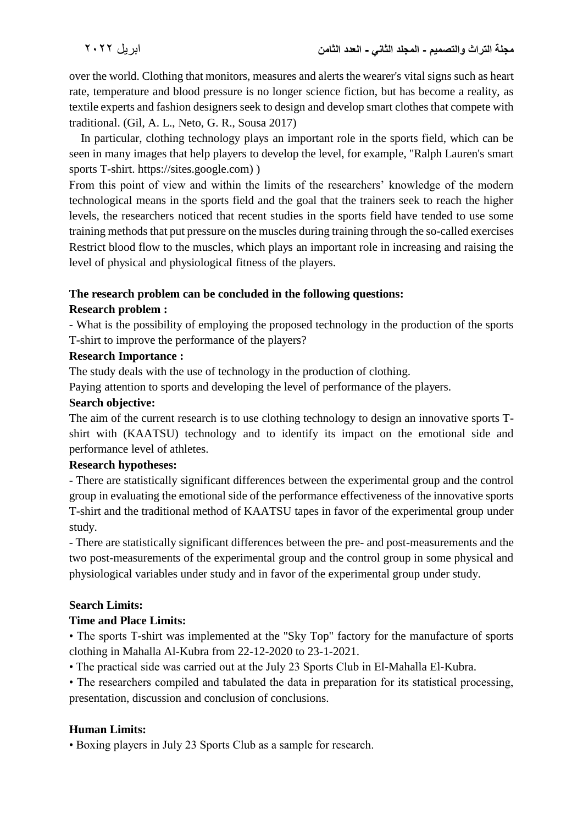over the world. Clothing that monitors, measures and alerts the wearer's vital signs such as heart rate, temperature and blood pressure is no longer science fiction, but has become a reality, as textile experts and fashion designers seek to design and develop smart clothes that compete with traditional. (Gil, A. L., Neto, G. R., Sousa 2017)

 In particular, clothing technology plays an important role in the sports field, which can be seen in many images that help players to develop the level, for example, "Ralph Lauren's smart sports T-shirt. https://sites.google.com) )

From this point of view and within the limits of the researchers' knowledge of the modern technological means in the sports field and the goal that the trainers seek to reach the higher levels, the researchers noticed that recent studies in the sports field have tended to use some training methods that put pressure on the muscles during training through the so-called exercises Restrict blood flow to the muscles, which plays an important role in increasing and raising the level of physical and physiological fitness of the players.

## **The research problem can be concluded in the following questions:**

#### **Research problem :**

- What is the possibility of employing the proposed technology in the production of the sports T-shirt to improve the performance of the players?

#### **Research Importance :**

The study deals with the use of technology in the production of clothing.

Paying attention to sports and developing the level of performance of the players.

## **Search objective:**

The aim of the current research is to use clothing technology to design an innovative sports Tshirt with (KAATSU) technology and to identify its impact on the emotional side and performance level of athletes.

#### **Research hypotheses:**

- There are statistically significant differences between the experimental group and the control group in evaluating the emotional side of the performance effectiveness of the innovative sports T-shirt and the traditional method of KAATSU tapes in favor of the experimental group under study.

- There are statistically significant differences between the pre- and post-measurements and the two post-measurements of the experimental group and the control group in some physical and physiological variables under study and in favor of the experimental group under study.

## **Search Limits:**

#### **Time and Place Limits:**

• The sports T-shirt was implemented at the "Sky Top" factory for the manufacture of sports clothing in Mahalla Al-Kubra from 22-12-2020 to 23-1-2021.

• The practical side was carried out at the July 23 Sports Club in El-Mahalla El-Kubra.

• The researchers compiled and tabulated the data in preparation for its statistical processing, presentation, discussion and conclusion of conclusions.

## **Human Limits:**

• Boxing players in July 23 Sports Club as a sample for research.